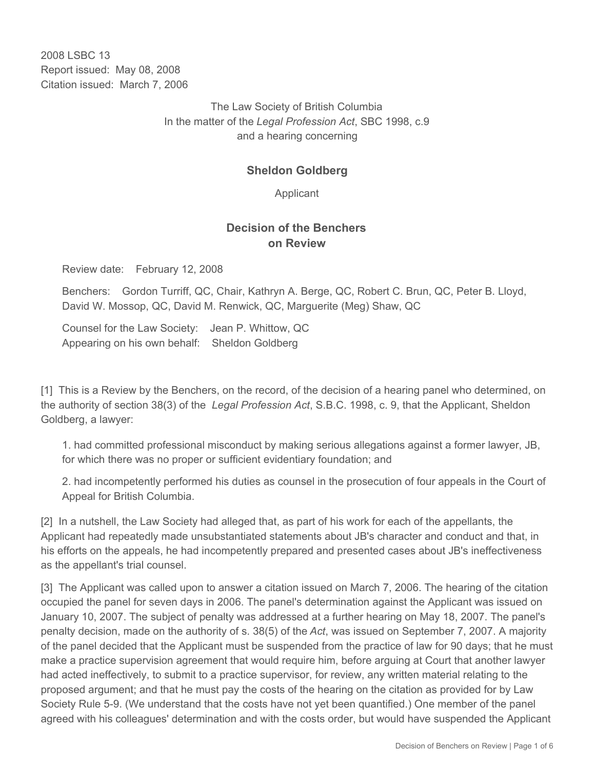2008 LSBC 13 Report issued: May 08, 2008 Citation issued: March 7, 2006

> The Law Society of British Columbia In the matter of the *Legal Profession Act*, SBC 1998, c.9 and a hearing concerning

## **Sheldon Goldberg**

Applicant

## **Decision of the Benchers on Review**

Review date: February 12, 2008

Benchers: Gordon Turriff, QC, Chair, Kathryn A. Berge, QC, Robert C. Brun, QC, Peter B. Lloyd, David W. Mossop, QC, David M. Renwick, QC, Marguerite (Meg) Shaw, QC

Counsel for the Law Society: Jean P. Whittow, QC Appearing on his own behalf: Sheldon Goldberg

[1] This is a Review by the Benchers, on the record, of the decision of a hearing panel who determined, on the authority of section 38(3) of the *Legal Profession Act*, S.B.C. 1998, c. 9, that the Applicant, Sheldon Goldberg, a lawyer:

1. had committed professional misconduct by making serious allegations against a former lawyer, JB, for which there was no proper or sufficient evidentiary foundation; and

2. had incompetently performed his duties as counsel in the prosecution of four appeals in the Court of Appeal for British Columbia.

[2] In a nutshell, the Law Society had alleged that, as part of his work for each of the appellants, the Applicant had repeatedly made unsubstantiated statements about JB's character and conduct and that, in his efforts on the appeals, he had incompetently prepared and presented cases about JB's ineffectiveness as the appellant's trial counsel.

[3] The Applicant was called upon to answer a citation issued on March 7, 2006. The hearing of the citation occupied the panel for seven days in 2006. The panel's determination against the Applicant was issued on January 10, 2007. The subject of penalty was addressed at a further hearing on May 18, 2007. The panel's penalty decision, made on the authority of s. 38(5) of the *Act*, was issued on September 7, 2007. A majority of the panel decided that the Applicant must be suspended from the practice of law for 90 days; that he must make a practice supervision agreement that would require him, before arguing at Court that another lawyer had acted ineffectively, to submit to a practice supervisor, for review, any written material relating to the proposed argument; and that he must pay the costs of the hearing on the citation as provided for by Law Society Rule 5-9. (We understand that the costs have not yet been quantified.) One member of the panel agreed with his colleagues' determination and with the costs order, but would have suspended the Applicant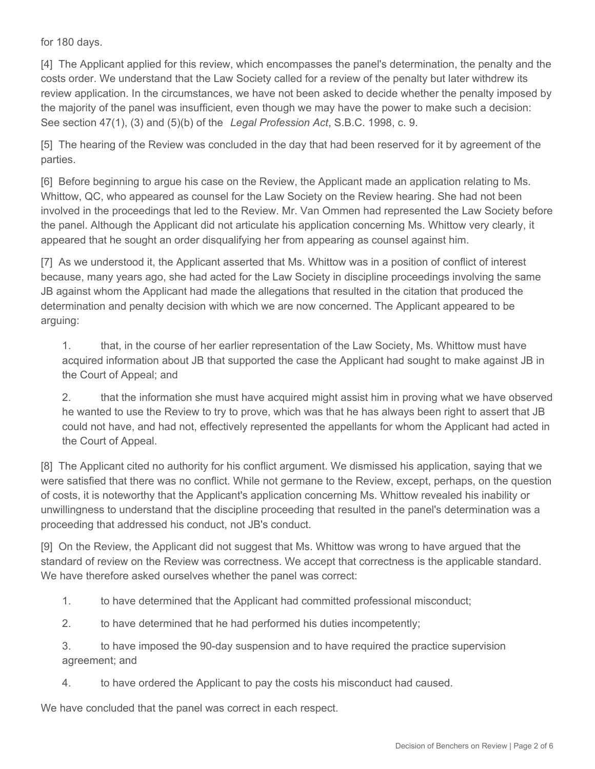for 180 days.

[4] The Applicant applied for this review, which encompasses the panel's determination, the penalty and the costs order. We understand that the Law Society called for a review of the penalty but later withdrew its review application. In the circumstances, we have not been asked to decide whether the penalty imposed by the majority of the panel was insufficient, even though we may have the power to make such a decision: See section 47(1), (3) and (5)(b) of the *Legal Profession Act*, S.B.C. 1998, c. 9.

[5] The hearing of the Review was concluded in the day that had been reserved for it by agreement of the parties.

[6] Before beginning to argue his case on the Review, the Applicant made an application relating to Ms. Whittow, QC, who appeared as counsel for the Law Society on the Review hearing. She had not been involved in the proceedings that led to the Review. Mr. Van Ommen had represented the Law Society before the panel. Although the Applicant did not articulate his application concerning Ms. Whittow very clearly, it appeared that he sought an order disqualifying her from appearing as counsel against him.

[7] As we understood it, the Applicant asserted that Ms. Whittow was in a position of conflict of interest because, many years ago, she had acted for the Law Society in discipline proceedings involving the same JB against whom the Applicant had made the allegations that resulted in the citation that produced the determination and penalty decision with which we are now concerned. The Applicant appeared to be arguing:

1. that, in the course of her earlier representation of the Law Society, Ms. Whittow must have acquired information about JB that supported the case the Applicant had sought to make against JB in the Court of Appeal; and

2. that the information she must have acquired might assist him in proving what we have observed he wanted to use the Review to try to prove, which was that he has always been right to assert that JB could not have, and had not, effectively represented the appellants for whom the Applicant had acted in the Court of Appeal.

[8] The Applicant cited no authority for his conflict argument. We dismissed his application, saying that we were satisfied that there was no conflict. While not germane to the Review, except, perhaps, on the question of costs, it is noteworthy that the Applicant's application concerning Ms. Whittow revealed his inability or unwillingness to understand that the discipline proceeding that resulted in the panel's determination was a proceeding that addressed his conduct, not JB's conduct.

[9] On the Review, the Applicant did not suggest that Ms. Whittow was wrong to have argued that the standard of review on the Review was correctness. We accept that correctness is the applicable standard. We have therefore asked ourselves whether the panel was correct:

- 1. to have determined that the Applicant had committed professional misconduct;
- 2. to have determined that he had performed his duties incompetently;

3. to have imposed the 90-day suspension and to have required the practice supervision agreement; and

4. to have ordered the Applicant to pay the costs his misconduct had caused.

We have concluded that the panel was correct in each respect.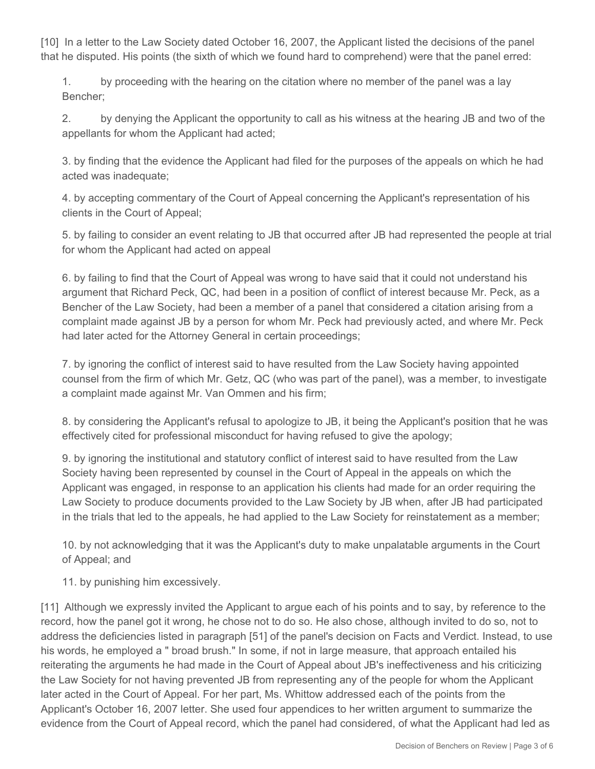[10] In a letter to the Law Society dated October 16, 2007, the Applicant listed the decisions of the panel that he disputed. His points (the sixth of which we found hard to comprehend) were that the panel erred:

1. by proceeding with the hearing on the citation where no member of the panel was a lay Bencher;

2. by denying the Applicant the opportunity to call as his witness at the hearing JB and two of the appellants for whom the Applicant had acted;

3. by finding that the evidence the Applicant had filed for the purposes of the appeals on which he had acted was inadequate;

4. by accepting commentary of the Court of Appeal concerning the Applicant's representation of his clients in the Court of Appeal;

5. by failing to consider an event relating to JB that occurred after JB had represented the people at trial for whom the Applicant had acted on appeal

6. by failing to find that the Court of Appeal was wrong to have said that it could not understand his argument that Richard Peck, QC, had been in a position of conflict of interest because Mr. Peck, as a Bencher of the Law Society, had been a member of a panel that considered a citation arising from a complaint made against JB by a person for whom Mr. Peck had previously acted, and where Mr. Peck had later acted for the Attorney General in certain proceedings;

7. by ignoring the conflict of interest said to have resulted from the Law Society having appointed counsel from the firm of which Mr. Getz, QC (who was part of the panel), was a member, to investigate a complaint made against Mr. Van Ommen and his firm;

8. by considering the Applicant's refusal to apologize to JB, it being the Applicant's position that he was effectively cited for professional misconduct for having refused to give the apology;

9. by ignoring the institutional and statutory conflict of interest said to have resulted from the Law Society having been represented by counsel in the Court of Appeal in the appeals on which the Applicant was engaged, in response to an application his clients had made for an order requiring the Law Society to produce documents provided to the Law Society by JB when, after JB had participated in the trials that led to the appeals, he had applied to the Law Society for reinstatement as a member;

10. by not acknowledging that it was the Applicant's duty to make unpalatable arguments in the Court of Appeal; and

11. by punishing him excessively.

[11] Although we expressly invited the Applicant to argue each of his points and to say, by reference to the record, how the panel got it wrong, he chose not to do so. He also chose, although invited to do so, not to address the deficiencies listed in paragraph [51] of the panel's decision on Facts and Verdict. Instead, to use his words, he employed a " broad brush." In some, if not in large measure, that approach entailed his reiterating the arguments he had made in the Court of Appeal about JB's ineffectiveness and his criticizing the Law Society for not having prevented JB from representing any of the people for whom the Applicant later acted in the Court of Appeal. For her part, Ms. Whittow addressed each of the points from the Applicant's October 16, 2007 letter. She used four appendices to her written argument to summarize the evidence from the Court of Appeal record, which the panel had considered, of what the Applicant had led as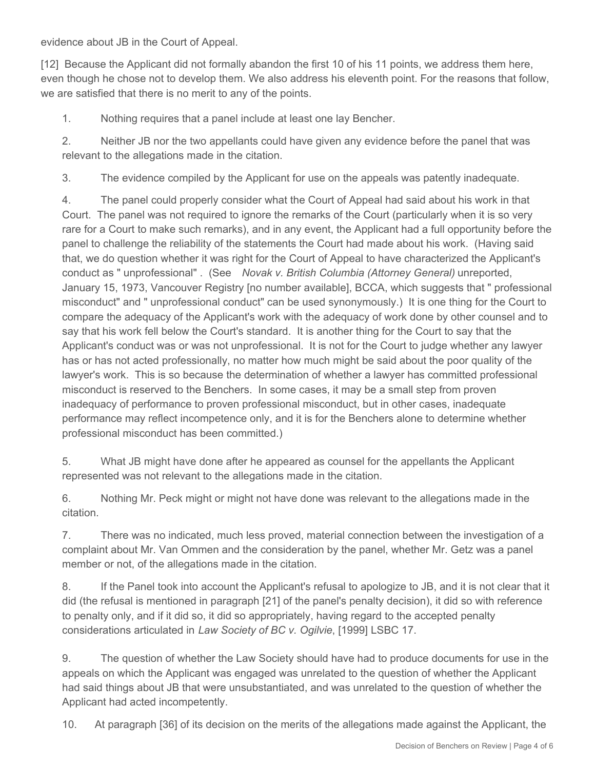evidence about JB in the Court of Appeal.

[12] Because the Applicant did not formally abandon the first 10 of his 11 points, we address them here, even though he chose not to develop them. We also address his eleventh point. For the reasons that follow, we are satisfied that there is no merit to any of the points.

1. Nothing requires that a panel include at least one lay Bencher.

2. Neither JB nor the two appellants could have given any evidence before the panel that was relevant to the allegations made in the citation.

3. The evidence compiled by the Applicant for use on the appeals was patently inadequate.

4. The panel could properly consider what the Court of Appeal had said about his work in that Court. The panel was not required to ignore the remarks of the Court (particularly when it is so very rare for a Court to make such remarks), and in any event, the Applicant had a full opportunity before the panel to challenge the reliability of the statements the Court had made about his work. (Having said that, we do question whether it was right for the Court of Appeal to have characterized the Applicant's conduct as " unprofessional" . (See *Novak v. British Columbia (Attorney General)* unreported, January 15, 1973, Vancouver Registry [no number available], BCCA, which suggests that " professional misconduct" and " unprofessional conduct" can be used synonymously.) It is one thing for the Court to compare the adequacy of the Applicant's work with the adequacy of work done by other counsel and to say that his work fell below the Court's standard. It is another thing for the Court to say that the Applicant's conduct was or was not unprofessional. It is not for the Court to judge whether any lawyer has or has not acted professionally, no matter how much might be said about the poor quality of the lawyer's work. This is so because the determination of whether a lawyer has committed professional misconduct is reserved to the Benchers. In some cases, it may be a small step from proven inadequacy of performance to proven professional misconduct, but in other cases, inadequate performance may reflect incompetence only, and it is for the Benchers alone to determine whether professional misconduct has been committed.)

5. What JB might have done after he appeared as counsel for the appellants the Applicant represented was not relevant to the allegations made in the citation.

6. Nothing Mr. Peck might or might not have done was relevant to the allegations made in the citation.

7. There was no indicated, much less proved, material connection between the investigation of a complaint about Mr. Van Ommen and the consideration by the panel, whether Mr. Getz was a panel member or not, of the allegations made in the citation.

8. If the Panel took into account the Applicant's refusal to apologize to JB, and it is not clear that it did (the refusal is mentioned in paragraph [21] of the panel's penalty decision), it did so with reference to penalty only, and if it did so, it did so appropriately, having regard to the accepted penalty considerations articulated in *Law Society of BC v. Ogilvie*, [1999] LSBC 17.

9. The question of whether the Law Society should have had to produce documents for use in the appeals on which the Applicant was engaged was unrelated to the question of whether the Applicant had said things about JB that were unsubstantiated, and was unrelated to the question of whether the Applicant had acted incompetently.

10. At paragraph [36] of its decision on the merits of the allegations made against the Applicant, the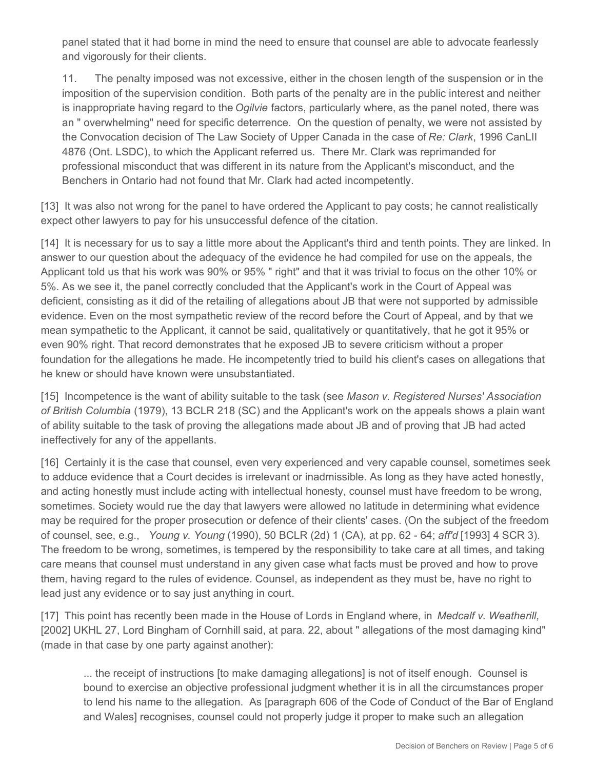panel stated that it had borne in mind the need to ensure that counsel are able to advocate fearlessly and vigorously for their clients.

11. The penalty imposed was not excessive, either in the chosen length of the suspension or in the imposition of the supervision condition. Both parts of the penalty are in the public interest and neither is inappropriate having regard to the *Ogilvie* factors, particularly where, as the panel noted, there was an " overwhelming" need for specific deterrence. On the question of penalty, we were not assisted by the Convocation decision of The Law Society of Upper Canada in the case of *Re: Clark*, 1996 CanLII 4876 (Ont. LSDC), to which the Applicant referred us. There Mr. Clark was reprimanded for professional misconduct that was different in its nature from the Applicant's misconduct, and the Benchers in Ontario had not found that Mr. Clark had acted incompetently.

[13] It was also not wrong for the panel to have ordered the Applicant to pay costs; he cannot realistically expect other lawyers to pay for his unsuccessful defence of the citation.

[14] It is necessary for us to say a little more about the Applicant's third and tenth points. They are linked. In answer to our question about the adequacy of the evidence he had compiled for use on the appeals, the Applicant told us that his work was 90% or 95% " right" and that it was trivial to focus on the other 10% or 5%. As we see it, the panel correctly concluded that the Applicant's work in the Court of Appeal was deficient, consisting as it did of the retailing of allegations about JB that were not supported by admissible evidence. Even on the most sympathetic review of the record before the Court of Appeal, and by that we mean sympathetic to the Applicant, it cannot be said, qualitatively or quantitatively, that he got it 95% or even 90% right. That record demonstrates that he exposed JB to severe criticism without a proper foundation for the allegations he made. He incompetently tried to build his client's cases on allegations that he knew or should have known were unsubstantiated.

[15] Incompetence is the want of ability suitable to the task (see *Mason v. Registered Nurses' Association of British Columbia* (1979), 13 BCLR 218 (SC) and the Applicant's work on the appeals shows a plain want of ability suitable to the task of proving the allegations made about JB and of proving that JB had acted ineffectively for any of the appellants.

[16] Certainly it is the case that counsel, even very experienced and very capable counsel, sometimes seek to adduce evidence that a Court decides is irrelevant or inadmissible. As long as they have acted honestly, and acting honestly must include acting with intellectual honesty, counsel must have freedom to be wrong, sometimes. Society would rue the day that lawyers were allowed no latitude in determining what evidence may be required for the proper prosecution or defence of their clients' cases. (On the subject of the freedom of counsel, see, e.g., *Young v. Young* (1990), 50 BCLR (2d) 1 (CA), at pp. 62 - 64; *aff'd* [1993] 4 SCR 3). The freedom to be wrong, sometimes, is tempered by the responsibility to take care at all times, and taking care means that counsel must understand in any given case what facts must be proved and how to prove them, having regard to the rules of evidence. Counsel, as independent as they must be, have no right to lead just any evidence or to say just anything in court.

[17] This point has recently been made in the House of Lords in England where, in *Medcalf v. Weatherill*, [2002] UKHL 27, Lord Bingham of Cornhill said, at para. 22, about " allegations of the most damaging kind" (made in that case by one party against another):

... the receipt of instructions [to make damaging allegations] is not of itself enough. Counsel is bound to exercise an objective professional judgment whether it is in all the circumstances proper to lend his name to the allegation. As [paragraph 606 of the Code of Conduct of the Bar of England and Wales] recognises, counsel could not properly judge it proper to make such an allegation